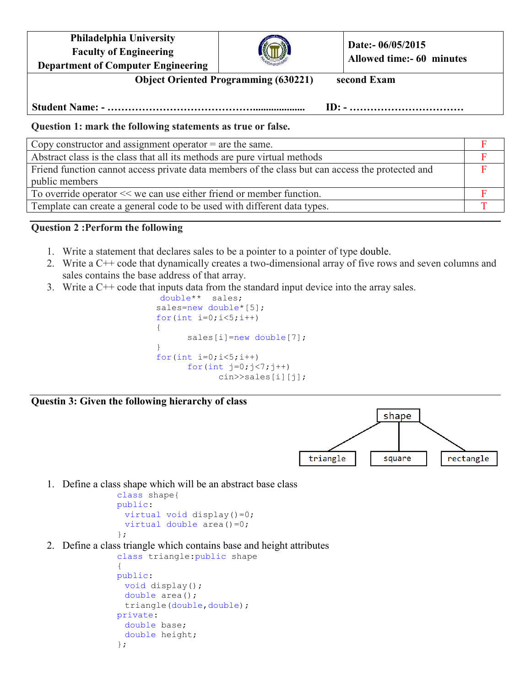**Philadelphia University Faculty of Engineering Department of Computer Engineering**



**Date:- 06/05/2015 Allowed time:- 60 minutes**

**Object Oriented Programming (630221) second Exam** 

**Student Name: - …………………………………….................... ID: - ……………………………**

**Question 1: mark the following statements as true or false.** 

Copy constructor and assignment operator  $=$  are the same.

| Abstract class is the class that all its methods are pure virtual methods                        |  |
|--------------------------------------------------------------------------------------------------|--|
| Friend function cannot access private data members of the class but can access the protected and |  |
| public members                                                                                   |  |
| To override operator << we can use either friend or member function.                             |  |
| Template can create a general code to be used with different data types.                         |  |

## **Question 2 :Perform the following**

- 1. Write a statement that declares sales to be a pointer to a pointer of type double.
- 2. Write a C++ code that dynamically creates a two-dimensional array of five rows and seven columns and sales contains the base address of that array.
- 3. Write a C++ code that inputs data from the standard input device into the array sales.

```
double** sales; 
     sales=new double*[5];
     for(int i=0;i<5;i++)
      { 
           sales[i]=new double[7];
 } 
     for(int i=0; i<5; i++)for(int j=0; j<7; j++) cin>>sales[i][j];
```
**Questin 3: Given the following hierarchy of class** 



1. Define a class shape which will be an abstract base class

```
class shape{ 
public: 
 virtual void display()=0; 
 virtual double area()=0;
};
```
2. Define a class triangle which contains base and height attributes

```
class triangle:public shape 
{ 
public: 
 void display(); 
 double area(); 
  triangle(double,double); 
private: 
 double base; 
 double height; 
};
```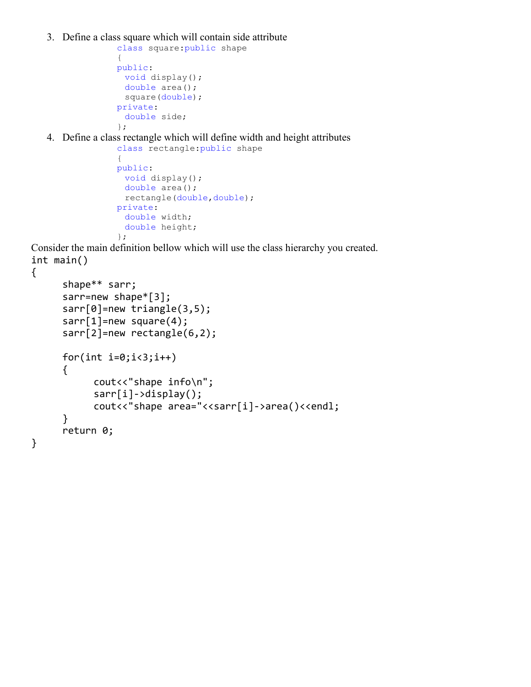3. Define a class square which will contain side attribute

```
class square:public shape 
{ 
public: 
 void display(); 
 double area(); 
  square(double); 
private: 
 double side; 
};
```
4. Define a class rectangle which will define width and height attributes

```
class rectangle:public shape 
{ 
public: 
 void display(); 
 double area(); 
 rectangle(double,double);
private: 
 double width; 
 double height; 
};
```
Consider the main definition bellow which will use the class hierarchy you created. int main()

```
{
```
}

```
 shape** sarr; 
 sarr=new shape*[3]; 
 sarr[0]=new triangle(3,5); 
sarr[1]=new square(4);
sarr[2]=new rectangle(6,2);
for(int i=0; i<3; i++) { 
      cout<<"shape info\n";
       sarr[i]->display(); 
      cout<<"shape area="<<sarr[i]->area()<<endl;
 } 
 return 0;
```